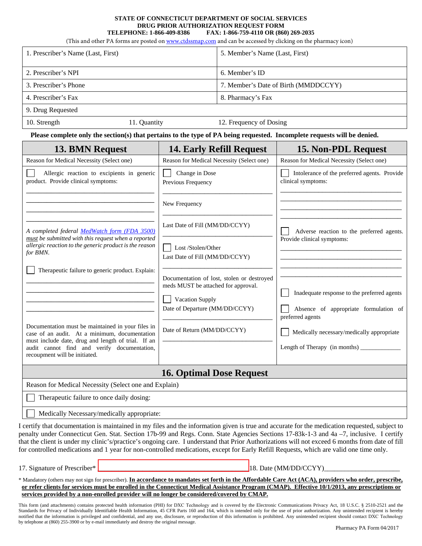## **STATE OF CONNECTICUT DEPARTMENT OF SOCIAL SERVICES DRUG PRIOR AUTHORIZATION REQUEST FORM TELEPHONE: 1-866-409-8386 FAX: 1-866-759-4110 OR (860) 269-2035**

(This and other PA forms are posted on<www.ctdssmap.com>and can be accessed by clicking on the pharmacy icon)

| 1. Prescriber's Name (Last, First) |              | 5. Member's Name (Last, First)       |
|------------------------------------|--------------|--------------------------------------|
| 2. Prescriber's NPI                |              | 6. Member's ID                       |
| 3. Prescriber's Phone              |              | 7. Member's Date of Birth (MMDDCCYY) |
| 4. Prescriber's Fax                |              | 8. Pharmacy's Fax                    |
| 9. Drug Requested                  |              |                                      |
| 10. Strength                       | 11. Quantity | 12. Frequency of Dosing              |

**Please complete only the section(s) that pertains to the type of PA being requested. Incomplete requests will be denied.**

| 13. BMN Request                                                                                                                                                                                                                                             | <b>14. Early Refill Request</b>                                                                                                                                       | 15. Non-PDL Request                                                                                                                                                                      |  |  |
|-------------------------------------------------------------------------------------------------------------------------------------------------------------------------------------------------------------------------------------------------------------|-----------------------------------------------------------------------------------------------------------------------------------------------------------------------|------------------------------------------------------------------------------------------------------------------------------------------------------------------------------------------|--|--|
| Reason for Medical Necessity (Select one)                                                                                                                                                                                                                   | Reason for Medical Necessity (Select one)                                                                                                                             | Reason for Medical Necessity (Select one)                                                                                                                                                |  |  |
| Allergic reaction to excipients in generic<br>product. Provide clinical symptoms:                                                                                                                                                                           | Change in Dose<br>Previous Frequency                                                                                                                                  | Intolerance of the preferred agents. Provide<br>clinical symptoms:                                                                                                                       |  |  |
| A completed federal MedWatch form (FDA 3500)<br>must be submitted with this request when a reported<br>allergic reaction to the generic product is the reason<br>for BMN.                                                                                   | New Frequency<br>Last Date of Fill (MM/DD/CCYY)<br>Lost /Stolen/Other<br>Last Date of Fill (MM/DD/CCYY)                                                               | Adverse reaction to the preferred agents.<br>Provide clinical symptoms:                                                                                                                  |  |  |
| Therapeutic failure to generic product. Explain:<br>Documentation must be maintained in your files in<br>case of an audit. At a minimum, documentation<br>must include date, drug and length of trial. If an<br>audit cannot find and verify documentation, | Documentation of lost, stolen or destroyed<br>meds MUST be attached for approval.<br>Vacation Supply<br>Date of Departure (MM/DD/CCYY)<br>Date of Return (MM/DD/CCYY) | Inadequate response to the preferred agents<br>Absence of appropriate formulation of<br>preferred agents<br>Medically necessary/medically appropriate<br>Length of Therapy (in months) _ |  |  |
| recoupment will be initiated.                                                                                                                                                                                                                               | <b>16. Optimal Dose Request</b>                                                                                                                                       |                                                                                                                                                                                          |  |  |
| Reason for Medical Necessity (Select one and Explain)                                                                                                                                                                                                       |                                                                                                                                                                       |                                                                                                                                                                                          |  |  |
| Therapeutic failure to once daily dosing:                                                                                                                                                                                                                   |                                                                                                                                                                       |                                                                                                                                                                                          |  |  |
| Medically Necessary/medically appropriate:                                                                                                                                                                                                                  |                                                                                                                                                                       |                                                                                                                                                                                          |  |  |

I certify that documentation is maintained in my files and the information given is true and accurate for the medication requested, subject to penalty under Connecticut Gen. Stat. Section 17b-99 and Regs. Conn. State Agencies Sections 17-83k-1-3 and 4a –7, inclusive. I certify that the client is under my clinic's/practice's ongoing care. I understand that Prior Authorizations will not exceed 6 months from date of fill for controlled medications and 1 year for non-controlled medications, except for Early Refill Requests, which are valid one time only.

17. Signature of Prescriber\* The contract of Prescriber and the contract of Prescriber and the contract of Prescriber and the contract of Prescriber and the contract of Prescriber and the contract of Prescriber and the con

\* Mandatory (others may not sign for prescriber). **In accordance to mandates set forth in the Affordable Care Act (ACA), providers who order, prescribe, or refer clients for services must be enrolled in the Connecticut Medical Assistance Program (CMAP). Effective 10/1/2013, any prescriptions or services provided by a non-enrolled provider will no longer be considered/covered by CMAP.**

This form (and attachments) contains protected health information (PHI) for DXC Technology and is covered by the Electronic Communications Privacy Act, 18 U.S.C. § 2510-2521 and the Standards for Privacy of Individually Identifiable Health Information, 45 CFR Parts 160 and 164, which is intended only for the use of prior authorization. Any unintended recipient is hereby notified that the information is privileged and confidential, and any use, disclosure, or reproduction of this information is prohibited. Any unintended recipient should contact DXC Technology by telephone at (860) 255-3900 or by e-mail immediately and destroy the original message.